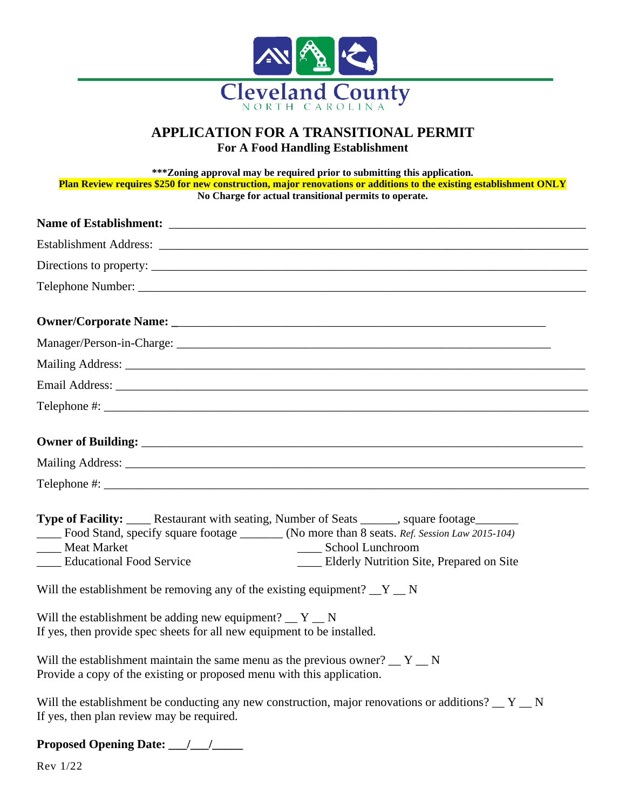

## **APPLICATION FOR A TRANSITIONAL PERMIT For A Food Handling Establishment**

**\*\*\*Zoning approval may be required prior to submitting this application. Plan Review requires \$250 for new construction, major renovations or additions to the existing establishment ONLY No Charge for actual transitional permits to operate.**

| Type of Facility: _____ Restaurant with seating, Number of Seats ______, square footage_______<br>Food Stand, specify square footage _______ (No more than 8 seats. Ref. Session Law 2015-104)<br>___ Meat Market<br>____ School Lunchroom<br><b>Educational Food Service</b><br>Elderly Nutrition Site, Prepared on Site |
|---------------------------------------------------------------------------------------------------------------------------------------------------------------------------------------------------------------------------------------------------------------------------------------------------------------------------|
| Will the establishment be removing any of the existing equipment? $Y_N$                                                                                                                                                                                                                                                   |
| Will the establishment be adding new equipment? $Y_{\text{max}}$ N<br>If yes, then provide spec sheets for all new equipment to be installed.                                                                                                                                                                             |
| Will the establishment maintain the same menu as the previous owner? $Y_{\mathbf{N}}$<br>Provide a copy of the existing or proposed menu with this application.                                                                                                                                                           |
| Will the establishment be conducting any new construction, major renovations or additions? $Y_{\text{max}}$ N<br>If yes, then plan review may be required.                                                                                                                                                                |

**Proposed Opening Date: \_\_\_/\_\_\_/\_\_\_\_\_**

Rev 1/22